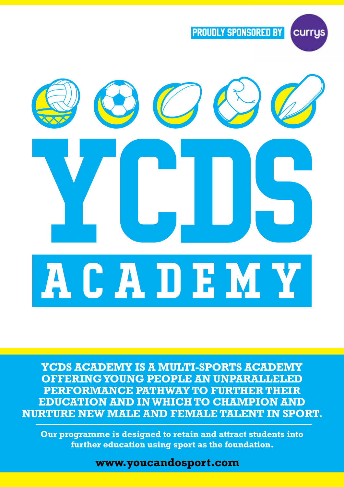

currys



**YCDS ACADEMY IS A MULTI-SPORTS ACADEMY OFFERING YOUNG PEOPLE AN UNPARALLELED PERFORMANCE PATHWAY TO FURTHER THEIR EDUCATION AND IN WHICH TO CHAMPION AND NURTURE NEW MALE AND FEMALE TALENT IN SPORT.** 

**Our programme is designed to retain and attract students into** further education using sport as the foundation.

www.youcandosport.com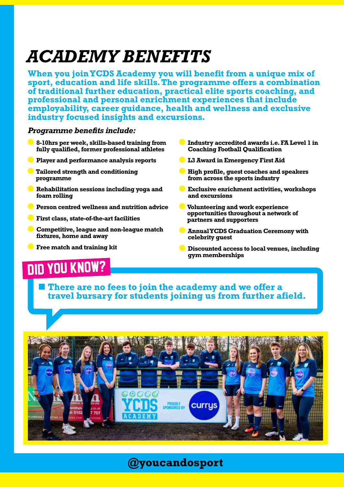## *benefits academy*

**When you join YCDS Academy you will benefit from a unique mix of** sport, education and life skills. The programme offers a combination of traditional further education, practical elite sports coaching, and **professional and personal enrichment experiences that include employability, career quidance, health and wellness and exclusive** industry focused insights and excursions.

#### **Programme benefits include:**

- **6** 8-10 hrs per week, skills-based training from fully qualified, former professional athletes
- **Player and performance analysis reports**
- **Tailored strength and conditioning programme**
- **Rehabilitation sessions including yoga and** foam rolling
- **Person centred wellness and nutrition advice**
- **facilities** First class, state-of-the-art facilities
- **Competitive, league and non-league match** fixtures, home and away
- **Free match and training kit**
- **C** Industry accredited awards i.e. FA Level 1 in **Coaching Football Qualification**
- **L3 Award in Emergency First Aid**
- **High profile, guest coaches and speakers** from across the sports industry
- **Exclusive enrichment activities, workshops** and excursions
- **Volunteering and work experience** opportunities throughout a network of partners and supporters
- **Manual YCDS Graduation Ceremony with guest celebrity**
- **Discounted access to local venues, including memberships gym**

### **DID YOU KNOW?**

There are no fees to join the academy and we offer a travel bursary for students joining us from further afield.



**@youcandosport**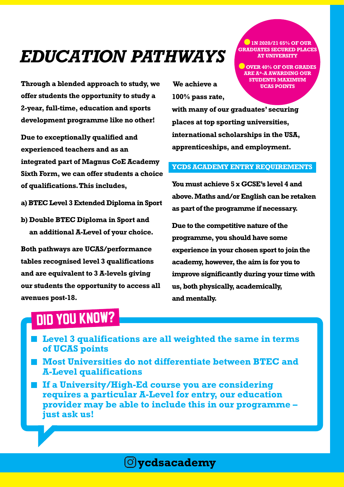# **EDUCATION PATHWAYS**

**Through a blended approach to study, we** offer students the opportunity to study a **2-year, full-time, education and sports** development programme like no other!

**Due to exceptionally qualified and experienced** teachers and as an integrated part of Magnus CoE Academy **Sixth Form, we can offer students a choice** of qualifications. This includes,

- a) BTEC Level 3 Extended Diploma in Sport
- **b**) Double BTEC Diploma in Sport and an additional A-Level of your choice.

**Both pathways are UCAS/performance** tables recognised level 3 qualifications and are equivalent to 3 A-levels giving our students the opportunity to access all avenues post-18.

**We achieve a 100%** pass rate,

**D** 1N 2020/21 65% OF OUR *<u>GRADUATES SECURED PLACES</u>* **AT UNIVERSITY** 

**v** OVER 40% OF OUR GRADES **ARE A\*-A AWARDING OUR STUDENTS MAXIMUM** *<u>UCAS POINTS</u>* 

with many of our graduates' securing places at top sporting universities, international scholarships in the USA, apprenticeships, and employment.

#### **YCDS ACADEMY ENTRY REQUIREMENTS**

 **You must achieve 5 x GCSE's level 4 and** above. Maths and/or English can be retaken as part of the programme if necessary.

**Due to the competitive nature of the** programme, you should have some experience in your chosen sport to join the academy, however, the aim is for you to improve significantly during your time with us, both physically, academically, **.mentally and**

#### **DID YOU KNOW?**

- **I** Level 3 qualifications are all weighted the same in terms *of* UCAS points
- **Most Universities do not differentiate between BTEC and A-Level qualifications**
- **If a University/High-Ed course you are considering** requires a particular A-Level for entry, our education **provider may be able to include this in our programme – iust ask us!**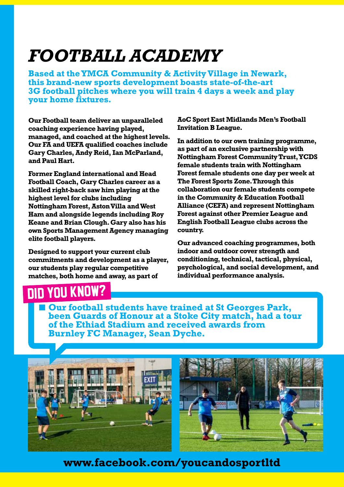## **FOOTBALL ACADEMY**

**Based at the YMCA Community & Activity Village in Newark.** this brand-new sports development boasts state-of-the-art **3G football pitches where you will train 4 days a week and play** *vour* home fixtures.

**Our Football team deliver an unparalleled** coaching experience having played, managed, and coached at the highest levels. **Our FA and UEFA qualified coaches include Gary Charles, Andy Reid, Ian McParland,** and Paul Hart.

**Former England international and Head Football Coach, Gary Charles career as a** skilled right-back saw him playing at the highest level for clubs including **Nottingham Forest, Aston Villa and West Ham and alongside legends including Roy Keane and Brian Clough. Gary also has his** *own Sports Management Agency managing* **elite** football players.

**Designed to support your current club** commitments and development as a player, *our students play regular competitive* matches, both home and away, as part of

nin you know?

*AoC* **Sport East Midlands Men's Football Invitation B League.** 

In addition to our own training programme, as part of an exclusive partnership with **Nottingham Forest Community Trust, YCDS female students train with Nottingham Forest female students one day per week at The Forest Sports Zone. Through this collaboration our female students compete in the Community & Education Football Alliance (CEFA) and represent Nottingham Forest against other Premier League and English Football League clubs across the .country**

**Our advanced coaching programmes, both** indoor and outdoor cover strength and conditioning, technical, tactical, physical, psychological, and social development, and **individual performance analysis.** 

**Our football students have trained at St Georges Park,** been Guards of Honour at a Stoke City match, had a tour of the Ethiad Stadium and received awards from **Burnley FC Manager, Sean Dyche.** 



www.facebook.com/youcandosportltd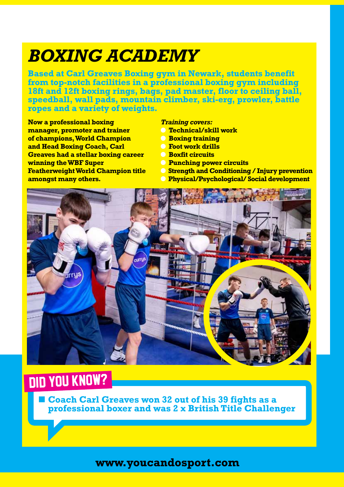## *BOXING ACADEMY*

**Based at Carl Greaves Boxing gym in Newark, students benefit** from top-notch facilities in a professional boxing gym including 18ft and 12ft boxing rings, bags, pad master, floor to ceiling ball, speedball, wall pads, mountain climber, ski-erg, prowler, battle **ropes and a variety of weights.** 

**Now a professional boxing manager, promoter and trainer of champions. World Champion** and Head Boxing Coach, Carl **Greaves had a stellar boxing career winning the WBF Super Featherweight World Champion title amongst many others.** 

#### **Training covers:**

- **Technical/skill work**
- **a** Boxing training
- **. Foot** work drills
- *<u>C Boxfit circuits</u>*
- *<u> Punching power circuits</u>*
- *<u><b>P Strength and Conditioning / Injury prevention*</u>
	- **Physical/Psychological/Social development**



## **DID YOU KNOW?**

**Example 20 Coach Carl Greaves won 32 out of his 39 fights as a** professional boxer and was 2 x British Title Challenger

**com.youcandosport.www**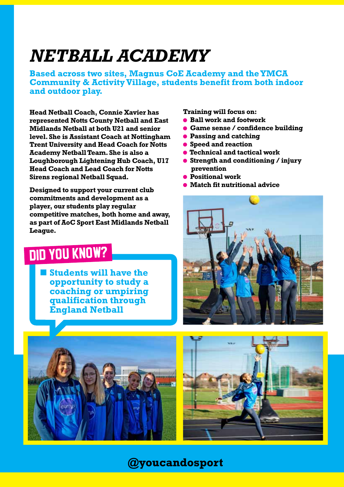## **NETBALL ACADEMY**

**Based across two sites. Magnus CoE Academy and the YMCA Community & Activity Village, students benefit from both indoor** and outdoor play.

**Head Netball Coach, Connie Xavier has represented Notts County Netball and East Midlands Netball at both U21 and senior Level. She is Assistant Coach at Nottingham Trent University and Head Coach for Notts Academy Netball Team. She is also a Loughborough Lightening Hub Coach, U17 Head Coach and Lead Coach for Notts Sirens regional Netball Squad.** 

**Designed to support your current club commitments and development as a** player, our students play regular competitive matches, both home and away, as part of AoC Sport East Midlands Netball  **.League**

## DID YOU KNOW?

**Students will have the exportunity** to study a *coaching or umpiring*  **through qualification England Netball** 

**Training will focus on:** 

- **Ball work and footwork**
- **e** Game sense / confidence building
- **Passing and catching**
- **Speed and reaction**
- **Technical and tactical work**
- **Strength and conditioning / injury prevention**
- **Positional work**
- **a** Match fit nutritional advice







**youcandosport@**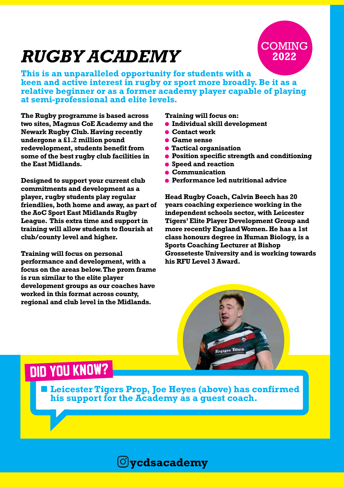# *RUGBY ACADEMY*



**This is an unparalleled opportunity for students with a keen and active interest in rugby or sport more broadly. Be it as a** relative beginner or as a former academy player capable of playing **at semi-professional and elite levels.** 

**The Rugby programme is based across** two sites, Magnus CoE Academy and the **Newark Rugby Club. Having recently undergone a £1.2 million pound** redevelopment, students benefit from some of the best rugby club facilities in **the East Midlands.** 

**Designed to support your current club** commitments and development as a player, rugby students play regular friendlies, both home and away, as part of **the AoC Sport East Midlands Rugby League. This extra time and support in training will allow students to flourish at** club/county level and higher.

**Training will focus on personal** performance and development, with a focus on the areas below. The prom frame is run similar to the elite player development groups as our coaches have worked in this format across county, regional and club level in the Midlands.

**Training will focus on:** 

- $\bullet$  **Individual skill development**
- **Contact work**
- **Came sense**
- $\bullet$  **Tactical organisation**
- **e** Position specific strength and conditioning
- **Speed and reaction**
- **Communication**
- **a** Performance led nutritional advice

**Head Rugby Coach, Calvin Beech has 20 years coaching experience working in the** independent schools sector, with Leicester **Tigers' Elite Player Development Group and** more recently England Women. He has a 1st class honours degree in Human Biology, is a **Sports Coaching Lecturer at Bishop Grosseteste University and is working towards .Award 3 Level RFU his**



### DID YOU KNOW?

**Example 1** Leicester Tigers Prop, Joe Heyes (above) has confirmed his support for the Academy as a quest coach.